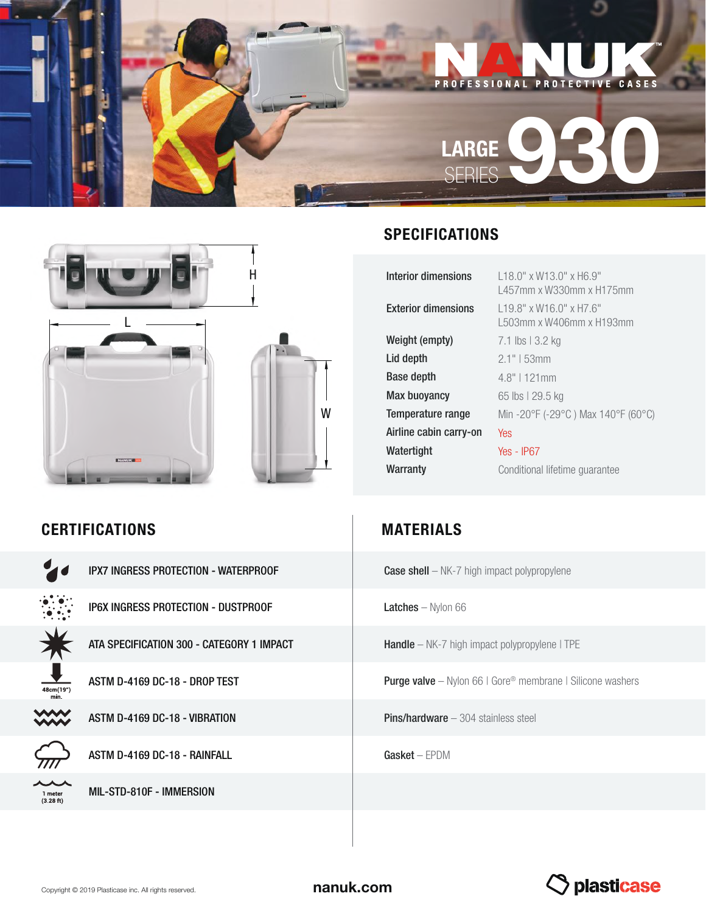



### CERTIFICATIONS MATERIALS

|                      | IPX7 INGRESS PROTECTION - WATERPROOF      |
|----------------------|-------------------------------------------|
|                      | IP6X INGRESS PROTECTION - DUSTPROOF       |
|                      | ATA SPECIFICATION 300 - CATEGORY 1 IMPACT |
| 48cm(19")<br>min     | ASTM D-4169 DC-18 - DROP TEST             |
|                      | ASTM D-4169 DC-18 - VIBRATION             |
|                      | ASTM D-4169 DC-18 - RAINFALL              |
| 1 meter<br>(3.28 ft) | MIL-STD-810F - IMMERSION                  |

#### **SPECIFICATIONS**

| H | Interior dimensions        | L18.0" x W13.0" x H6.9"<br>L457mm x W330mm x H175mm   |
|---|----------------------------|-------------------------------------------------------|
|   | <b>Exterior dimensions</b> | $L19.8"$ x W16.0" x H7.6"<br>L503mm x W406mm x H193mm |
|   | Weight (empty)             | 7.1 lbs   3.2 kg                                      |
|   | Lid depth                  | $2.1"$   53mm                                         |
|   | Base depth                 | $4.8"$   121mm                                        |
|   | <b>Max buoyancy</b>        | 65 lbs   29.5 kg                                      |
| W | Temperature range          | Min -20°F (-29°C) Max 140°F (60°C)                    |
|   | Airline cabin carry-on     | Yes                                                   |
|   | Watertight                 | $Yes - IP67$                                          |
|   | Warranty                   | Conditional lifetime guarantee                        |

**Case shell** – NK-7 high impact polypropylene

Latches - Nylon 66

Handle - NK-7 high impact polypropylene I TPE

Purge valve - Nylon 66 | Gore® membrane | Silicone washers

Pins/hardware - 304 stainless steel

Gasket – EPDM